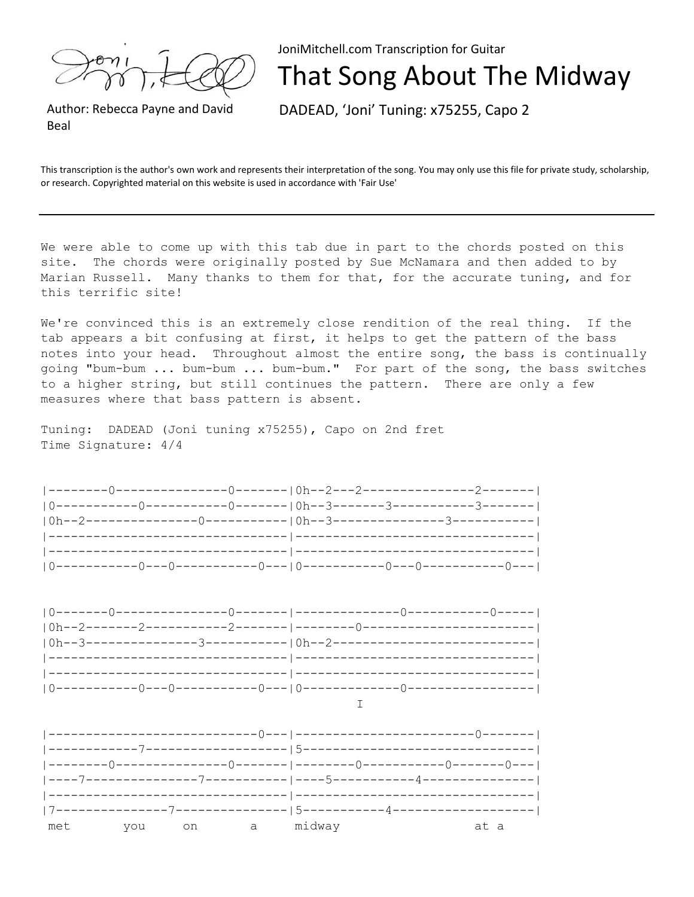JoniMitchell.com Transcription for Guitar

## That Song About The Midway

Author: Rebecca Payne and David Beal

DADEAD, 'Joni' Tuning: x75255, Capo 2

This transcription is the author's own work and represents their interpretation of the song. You may only use this file for private study, scholarship, or research. Copyrighted material on this website is used in accordance with 'Fair Use'

We were able to come up with this tab due in part to the chords posted on this site. The chords were originally posted by Sue McNamara and then added to by Marian Russell. Many thanks to them for that, for the accurate tuning, and for this terrific site!

We're convinced this is an extremely close rendition of the real thing. If the tab appears a bit confusing at first, it helps to get the pattern of the bass notes into your head. Throughout almost the entire song, the bass is continually going "bum-bum ... bum-bum ... bum-bum." For part of the song, the bass switches to a higher string, but still continues the pattern. There are only a few measures where that bass pattern is absent.

Tuning: DADEAD (Joni tuning x75255), Capo on 2nd fret Time Signature: 4/4

|--------0---------------0-------|0h--2---2---------------2-------| |0-----------0-----------0-------|0h--3-------3-----------3-------| |0h--2---------------0-----------|0h--3---------------3-----------| |--------------------------------|--------------------------------| |--------------------------------|--------------------------------| |0-----------0---0-----------0---|0-----------0---0-----------0---| |0-------0---------------0-------|--------------0-----------0-----| |0h--2-------2-----------2-------|--------0-----------------------| |0h--3---------------3-----------|0h--2---------------------------| |--------------------------------|--------------------------------| |--------------------------------|--------------------------------| |0-----------0---0-----------0---|0-------------0-----------------|  $\top$ |----------------------------0---|------------------------0-------| |------------7-------------------|5-------------------------------| |--------0---------------0-------|--------0-----------0-------0---| |----7---------------7-----------|----5-----------4---------------| |--------------------------------|--------------------------------| |7---------------7---------------|5-----------4-------------------|

met you on a midway at a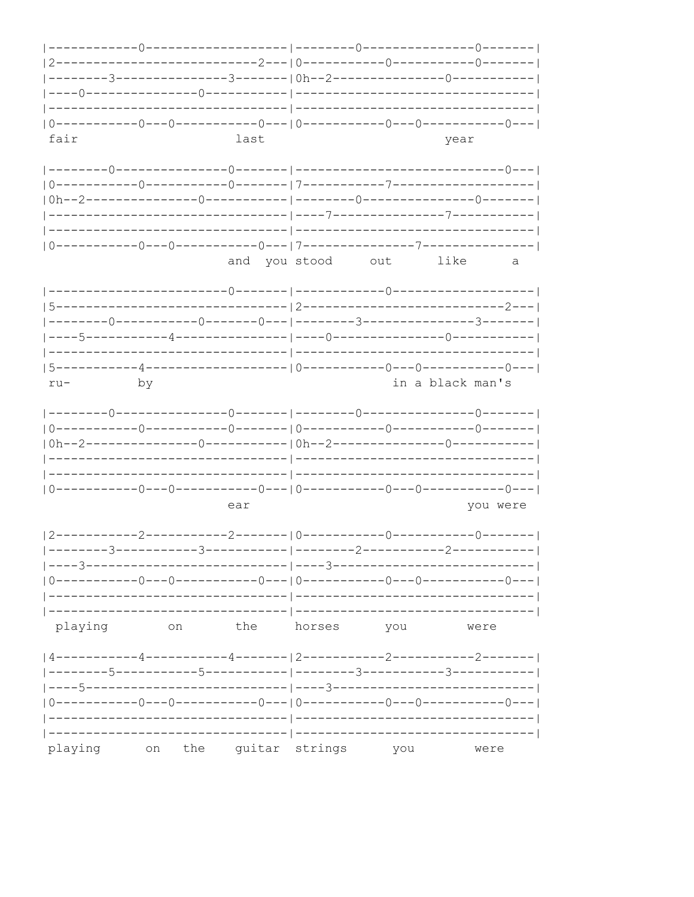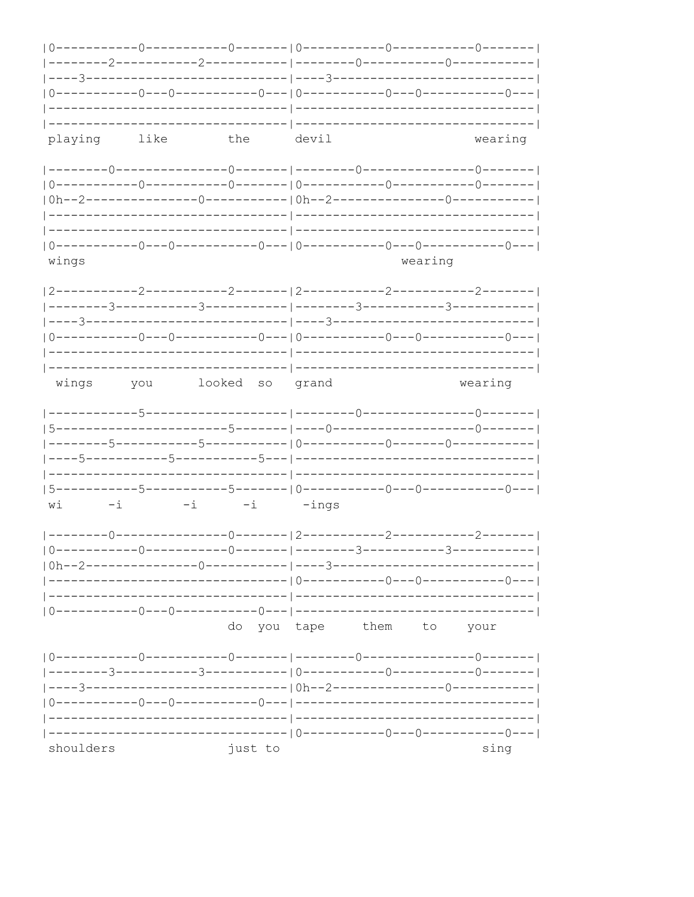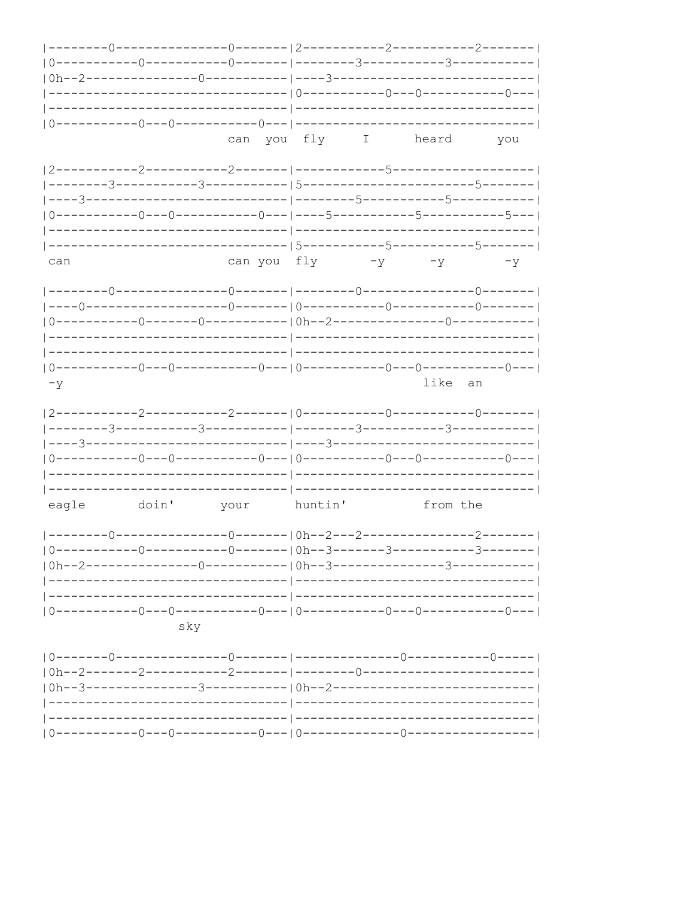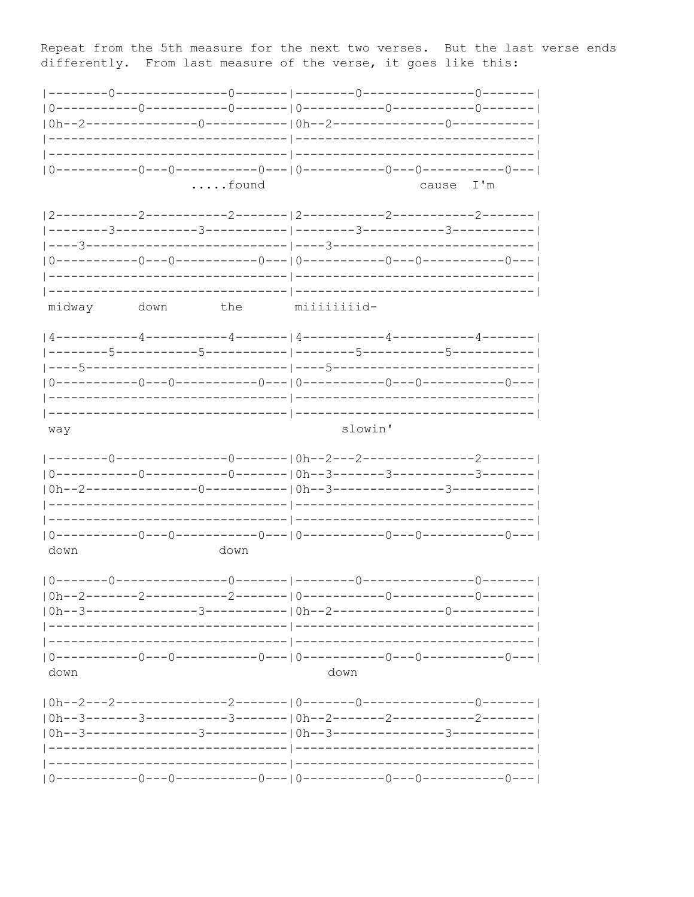Repeat from the 5th measure for the next two verses. But the last verse ends differently. From last measure of the verse, it goes like this:

.....found cause I'm miiiiiiiidmidway down the slowin' way down down down down | 0h--3-------3-----------3-------- | 0h--2-------2-------------2-------- |